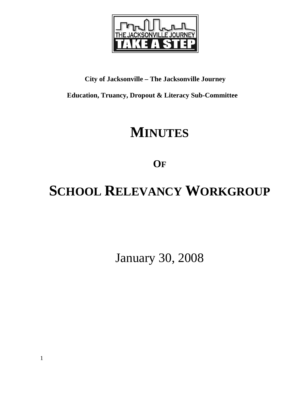

## **City of Jacksonville – The Jacksonville Journey**

 **Education, Truancy, Dropout & Literacy Sub-Committee** 

## **MINUTES**

**OF**

# **SCHOOL RELEVANCY WORKGROUP**

January 30, 2008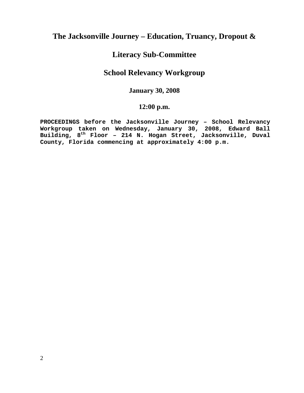## **The Jacksonville Journey – Education, Truancy, Dropout &**

## **Literacy Sub-Committee**

## **School Relevancy Workgroup**

## **January 30, 2008**

## **12:00 p.m.**

**PROCEEDINGS before the Jacksonville Journey – School Relevancy Workgroup taken on Wednesday, January 30, 2008, Edward Ball Building, 8th Floor – 214 N. Hogan Street, Jacksonville, Duval County, Florida commencing at approximately 4:00 p.m.**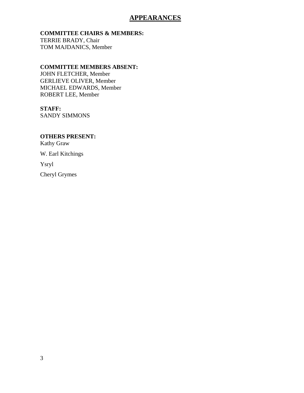## **APPEARANCES**

#### **COMMITTEE CHAIRS & MEMBERS:**

TERRIE BRADY, Chair TOM MAJDANICS, Member

#### **COMMITTEE MEMBERS ABSENT:**

JOHN FLETCHER, Member GERLIEVE OLIVER, Member MICHAEL EDWARDS, Member ROBERT LEE, Member

#### **STAFF:**

SANDY SIMMONS

## **OTHERS PRESENT:**

Kathy Graw

W. Earl Kitchings

Ysryl

Cheryl Grymes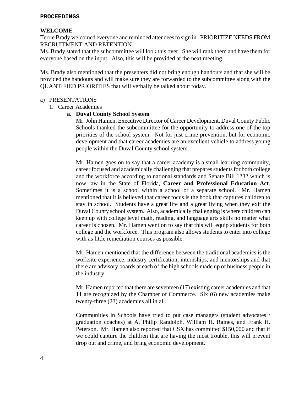#### **PROCEEDINGS**

#### **WELCOME**

Terrie Brady welcomed everyone and reminded attendees to sign in. PRIORITIZE NEEDS FROM RECRUITMENT AND RETENTION

Ms. Brady stated that the subcommittee will look this over. She will rank them and have them for everyone based on the input. Also, this will be provided at the next meeting.

Ms. Brady also mentioned that the presenters did not bring enough handouts and that she will be provided the handouts and will make sure they are forwarded to the subcommittee along with the QUANTIFIED PRIORITIES that will verbally be talked about today.

#### a) PRESENTATIONS

1. Career Academies

#### **a. Duval County School System**

Mr. John Hamen, Executive Director of Career Development, Duval County Public Schools thanked the subcommittee for the opportunity to address one of the top priorities of the school system. Not for just crime prevention, but for economic development and that career academies are an excellent vehicle to address young people within the Duval County school system.

Mr. Hamen goes on to say that a career academy is a small learning community, career focused and academically challenging that prepares students for both college and the workforce according to national standards and Senate Bill 1232 which is now law in the State of Florida, **Career and Professional Education Act**. Sometimes it is a school within a school or a separate school. Mr. Hamen mentioned that it is believed that career focus is the hook that captures children to stay in school. Students have a great life and a great living when they exit the Duval County school system. Also, academically challenging is where children can keep up with college level math, reading, and language arts skills no matter what career is chosen. Mr. Hamen went on to say that this will equip students for both college and the workforce. This program also allows students to enter into college with as little remediation courses as possible.

Mr. Hamen mentioned that the difference between the traditional academics is the worksite experience, industry certification, internships, and mentorships and that there are advisory boards at each of the high schools made up of business people in the industry.

Mr. Hamen reported that there are seventeen (17) existing career academies and that 11 are recognized by the Chamber of Commerce. Six (6) new academies make twenty-three (23) academies all in all.

Communities in Schools have tried to put case managers (student advocates / graduation coaches) at A. Philip Randolph, William H. Raines, and Frank H. Peterson. Mr. Hamen also reported that CSX has committed \$150,000 and that if we could capture the children that are having the most trouble, this will prevent drop out and crime, and bring economic development.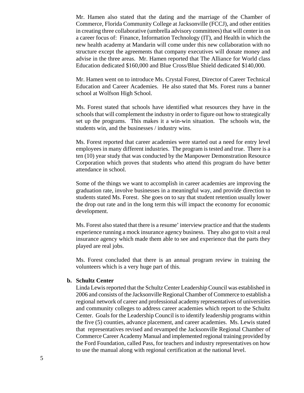Mr. Hamen also stated that the dating and the marriage of the Chamber of Commerce, Florida Community College at Jacksonville (FCCJ), and other entities in creating three collaborative (umbrella advisory committees) that will center in on a career focus of: Finance, Information Technology (IT), and Health in which the new health academy at Mandarin will come under this new collaboration with no structure except the agreements that company executives will donate money and advise in the three areas. Mr. Hamen reported that The Alliance for World class Education dedicated \$160,000 and Blue Cross/Blue Shield dedicated \$140,000.

Mr. Hamen went on to introduce Ms. Crystal Forest, Director of Career Technical Education and Career Academies. He also stated that Ms. Forest runs a banner school at Wolfson High School.

Ms. Forest stated that schools have identified what resources they have in the schools that will complement the industry in order to figure out how to strategically set up the programs. This makes it a win-win situation. The schools win, the students win, and the businesses / industry wins.

Ms. Forest reported that career academies were started out a need for entry level employees in many different industries. The program is tested and true. There is a ten (10) year study that was conducted by the Manpower Demonstration Resource Corporation which proves that students who attend this program do have better attendance in school.

Some of the things we want to accomplish in career academies are improving the graduation rate, involve businesses in a meaningful way, and provide direction to students stated Ms. Forest. She goes on to say that student retention usually lower the drop out rate and in the long term this will impact the economy for economic development.

Ms. Forest also stated that there is a resume' interview practice and that the students experience running a mock insurance agency business. They also got to visit a real insurance agency which made them able to see and experience that the parts they played are real jobs.

Ms. Forest concluded that there is an annual program review in training the volunteers which is a very huge part of this.

#### **b. Schultz Center**

Linda Lewis reported that the Schultz Center Leadership Council was established in 2006 and consists of the Jacksonville Regional Chamber of Commerce to establish a regional network of career and professional academy representatives of universities and community colleges to address career academies which report to the Schultz Center. Goals for the Leadership Council is to identify leadership programs within the five (5) counties, advance placement, and career academies. Ms. Lewis stated that representatives revised and revamped the Jacksonville Regional Chamber of Commerce Career Academy Manual and implemented regional training provided by the Ford Foundation, called Pass, for teachers and industry representatives on how to use the manual along with regional certification at the national level.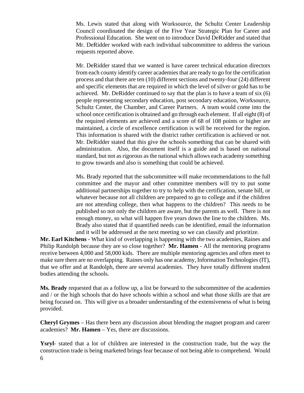Ms. Lewis stated that along with Worksource, the Schultz Center Leadership Council coordinated the design of the Five Year Strategic Plan for Career and Professional Education. She went on to introduce David DeRidder and stated that Mr. DeRidder worked with each individual subcommittee to address the various requests reported above.

Mr. DeRidder stated that we wanted is have career technical education directors from each county identify career academies that are ready to go for the certification process and that there are ten (10) different sections and twenty-four (24) different and specific elements that are required in which the level of silver or gold has to be achieved. Mr. DeRidder continued to say that the plan is to have a team of six (6) people representing secondary education, post secondary education, Worksource, Schultz Center, the Chamber, and Career Partners. A team would come into the school once certification is obtained and go through each element. If all eight (8) of the required elements are achieved and a score of 68 of 108 points or higher are maintained, a circle of excellence certification is will be received for the region. This information is shared with the district rather certification is achieved or not. Mr. DeRidder stated that this give the schools something that can be shared with administration. Also, the document itself is a guide and is based on national standard, but not as rigorous as the national which allows each academy something to grow towards and also is something that could be achieved.

Ms. Brady reported that the subcommittee will make recommendations to the full committee and the mayor and other committee members will try to put some additional partnerships together to try to help with the certification, senate bill, or whatever because not all children are prepared to go to college and if the children are not attending college, then what happens to the children? This needs to be published so not only the children are aware, but the parents as well. There is not enough money, so what will happen five years down the line to the children. Ms. Brady also stated that if quantified needs can be identified, email the information and it will be addressed at the next meeting so we can classify and prioritize.

**Mr. Earl Kitchens** - What kind of overlapping is happening with the two academies, Raines and Philip Randolph because they are so close together? **Mr. Hamen** - All the mentoring programs receive between 4,000 and 58,000 kids. There are multiple mentoring agencies and often meet to make sure there are no overlapping. Raines only has one academy, Information Technologies (IT), that we offer and at Randolph, there are several academies. They have totally different student bodies attending the schools.

**Ms. Brady** requested that as a follow up, a list be forward to the subcommittee of the academies and / or the high schools that do have schools within a school and what those skills are that are being focused on. This will give us a broader understanding of the extensiveness of what is being provided.

**Cheryl Grymes** – Has there been any discussion about blending the magnet program and career academies? **Mr. Hamen** – Yes, there are discussions.

6 **Ysryl**- stated that a lot of children are interested in the construction trade, but the way the construction trade is being marketed brings fear because of not being able to comprehend. Would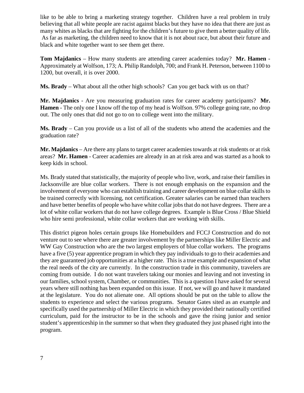like to be able to bring a marketing strategy together. Children have a real problem in truly believing that all white people are racist against blacks but they have no idea that there are just as many whites as blacks that are fighting for the children's future to give them a better quality of life. As far as marketing, the children need to know that it is not about race, but about their future and black and white together want to see them get there.

**Tom Majdanics** – How many students are attending career academies today? **Mr. Hamen** - Approximately at Wolfson, 173; A. Philip Randolph, 700; and Frank H. Peterson, between 1100 to 1200, but overall, it is over 2000.

**Ms. Brady** – What about all the other high schools? Can you get back with us on that?

**Mr. Majdanics** - Are you measuring graduation rates for career academy participants? **Mr. Hamen** - The only one I know off the top of my head is Wolfson. 97% college going rate, no drop out. The only ones that did not go to on to college went into the military.

**Ms. Brady** – Can you provide us a list of all of the students who attend the academies and the graduation rate?

**Mr. Majdanics** – Are there any plans to target career academies towards at risk students or at risk areas? **Mr. Hamen** - Career academies are already in an at risk area and was started as a hook to keep kids in school.

Ms. Brady stated that statistically, the majority of people who live, work, and raise their families in Jacksonville are blue collar workers. There is not enough emphasis on the expansion and the involvement of everyone who can establish training and career development on blue collar skills to be trained correctly with licensing, not certification. Greater salaries can be earned than teachers and have better benefits of people who have white collar jobs that do not have degrees. There are a lot of white collar workers that do not have college degrees. Example is Blue Cross / Blue Shield who hire semi professional, white collar workers that are working with skills.

This district pigeon holes certain groups like Homebuilders and FCCJ Construction and do not venture out to see where there are greater involvement by the partnerships like Miller Electric and WW Gay Construction who are the two largest employers of blue collar workers. The programs have a five (5) year apprentice program in which they pay individuals to go to their academies and they are guaranteed job opportunities at a higher rate. This is a true example and expansion of what the real needs of the city are currently. In the construction trade in this community, travelers are coming from outside. I do not want travelers taking our monies and leaving and not investing in our families, school system, Chamber, or communities. This is a question I have asked for several years where still nothing has been expanded on this issue. If not, we will go and have it mandated at the legislature. You do not alienate one. All options should be put on the table to allow the students to experience and select the various programs. Senator Gates sited as an example and specifically used the partnership of Miller Electric in which they provided their nationally certified curriculum, paid for the instructor to be in the schools and gave the rising junior and senior student's apprenticeship in the summer so that when they graduated they just phased right into the program.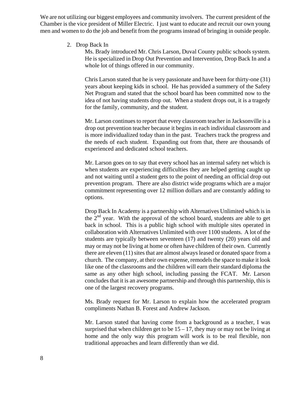We are not utilizing our biggest employees and community involvers. The current president of the Chamber is the vice president of Miller Electric. I just want to educate and recruit our own young men and women to do the job and benefit from the programs instead of bringing in outside people.

2. Drop Back In

Ms. Brady introduced Mr. Chris Larson, Duval County public schools system. He is specialized in Drop Out Prevention and Intervention, Drop Back In and a whole lot of things offered in our community.

Chris Larson stated that he is very passionate and have been for thirty-one (31) years about keeping kids in school. He has provided a summery of the Safety Net Program and stated that the school board has been committed now to the idea of not having students drop out. When a student drops out, it is a tragedy for the family, community, and the student.

Mr. Larson continues to report that every classroom teacher in Jacksonville is a drop out prevention teacher because it begins in each individual classroom and is more individualized today than in the past. Teachers track the progress and the needs of each student. Expanding out from that, there are thousands of experienced and dedicated school teachers.

Mr. Larson goes on to say that every school has an internal safety net which is when students are experiencing difficulties they are helped getting caught up and not waiting until a student gets to the point of needing an official drop out prevention program. There are also district wide programs which are a major commitment representing over 12 million dollars and are constantly adding to options.

Drop Back In Academy is a partnership with Alternatives Unlimited which is in the  $2<sup>nd</sup>$  year. With the approval of the school board, students are able to get back in school. This is a public high school with multiple sites operated in collaboration with Alternatives Unlimited with over 1100 students. A lot of the students are typically between seventeen (17) and twenty (20) years old and may or may not be living at home or often have children of their own. Currently there are eleven (11) sites that are almost always leased or donated space from a church. The company, at their own expense, remodels the space to make it look like one of the classrooms and the children will earn their standard diploma the same as any other high school, including passing the FCAT. Mr. Larson concludes that it is an awesome partnership and through this partnership, this is one of the largest recovery programs.

Ms. Brady request for Mr. Larson to explain how the accelerated program compliments Nathan B. Forest and Andrew Jackson.

Mr. Larson stated that having come from a background as a teacher, I was surprised that when children get to be  $15 - 17$ , they may or may not be living at home and the only way this program will work is to be real flexible, non traditional approaches and learn differently than we did.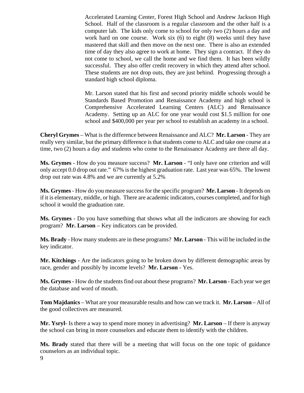Accelerated Learning Center, Forest High School and Andrew Jackson High School. Half of the classroom is a regular classroom and the other half is a computer lab. The kids only come to school for only two (2) hours a day and work hard on one course. Work six (6) to eight (8) weeks until they have mastered that skill and then move on the next one. There is also an extended time of day they also agree to work at home. They sign a contract. If they do not come to school, we call the home and we find them. It has been wildly successful. They also offer credit recovery in which they attend after school. These students are not drop outs, they are just behind. Progressing through a standard high school diploma.

Mr. Larson stated that his first and second priority middle schools would be Standards Based Promotion and Renaissance Academy and high school is Comprehensive Accelerated Learning Centers (ALC) and Renaissance Academy. Setting up an ALC for one year would cost \$1.5 million for one school and \$400,000 per year per school to establish an academy in a school.

**Cheryl Grymes** – What is the difference between Renaissance and ALC? **Mr. Larson** - They are really very similar, but the primary difference is that students come to ALC and take one course at a time, two (2) hours a day and students who come to the Renaissance Academy are there all day.

**Ms. Grymes** - How do you measure success? **Mr. Larson** - "I only have one criterion and will only accept 0.0 drop out rate." 67% is the highest graduation rate. Last year was 65%. The lowest drop out rate was 4.8% and we are currently at 5.2%

**Ms. Grymes** - How do you measure success for the specific program? **Mr. Larson** - It depends on if it is elementary, middle, or high. There are academic indicators, courses completed, and for high school it would the graduation rate.

**Ms. Grymes** - Do you have something that shows what all the indicators are showing for each program? **Mr. Larson** – Key indicators can be provided.

**Ms. Brady** - How many students are in these programs? **Mr. Larson** - This will be included in the key indicator.

**Mr. Kitchings** - Are the indicators going to be broken down by different demographic areas by race, gender and possibly by income levels? **Mr. Larson** - Yes.

**Ms. Grymes** - How do the students find out about these programs? **Mr. Larson** - Each year we get the database and word of mouth.

**Tom Majdanics** – What are your measurable results and how can we track it. **Mr. Larson** – All of the good collectives are measured.

**Mr. Ysryl**- Is there a way to spend more money in advertising? **Mr. Larson** – If there is anyway the school can bring in more counselors and educate them to identify with the children.

**Ms. Brady** stated that there will be a meeting that will focus on the one topic of guidance counselors as an individual topic.